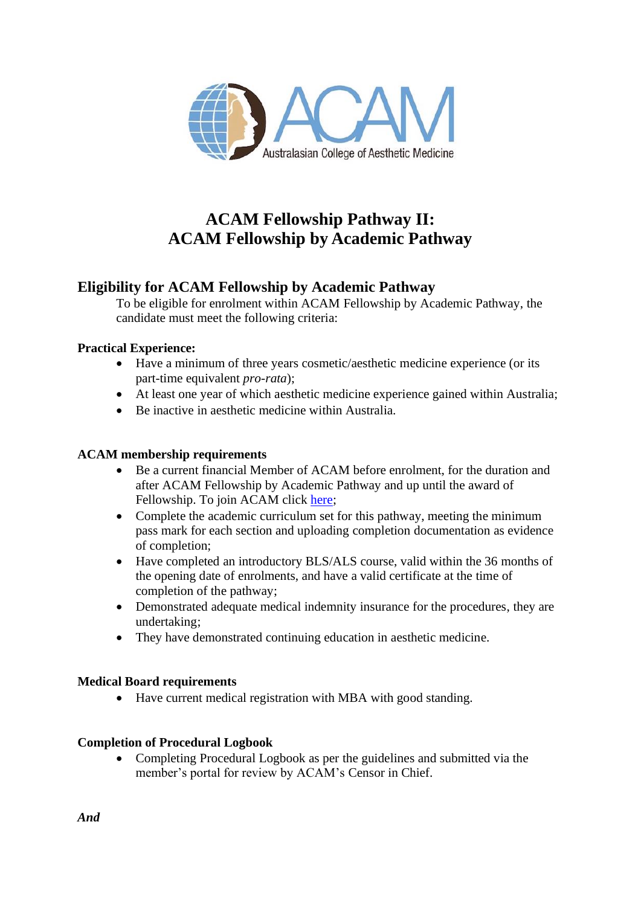

# **ACAM Fellowship Pathway II: ACAM Fellowship by Academic Pathway**

# **Eligibility for ACAM Fellowship by Academic Pathway**

To be eligible for enrolment within ACAM Fellowship by Academic Pathway, the candidate must meet the following criteria:

# **Practical Experience:**

- Have a minimum of three years cosmetic/aesthetic medicine experience (or its part-time equivalent *pro-rata*);
- At least one year of which aesthetic medicine experience gained within Australia;
- Be inactive in aesthetic medicine within Australia.

# **ACAM membership requirements**

- Be a current financial Member of ACAM before enrolment, for the duration and after ACAM Fellowship by Academic Pathway and up until the award of Fellowship. To join ACAM click [here;](https://acam.360membership.com.au/onlineapplication/index.html?v2)
- Complete the academic curriculum set for this pathway, meeting the minimum pass mark for each section and uploading completion documentation as evidence of completion;
- Have completed an introductory BLS/ALS course, valid within the 36 months of the opening date of enrolments, and have a valid certificate at the time of completion of the pathway;
- Demonstrated adequate medical indemnity insurance for the procedures, they are undertaking;
- They have demonstrated continuing education in aesthetic medicine.

# **Medical Board requirements**

• Have current medical registration with MBA with good standing.

# **Completion of Procedural Logbook**

• Completing Procedural Logbook as per the guidelines and submitted via the member's portal for review by ACAM's Censor in Chief.